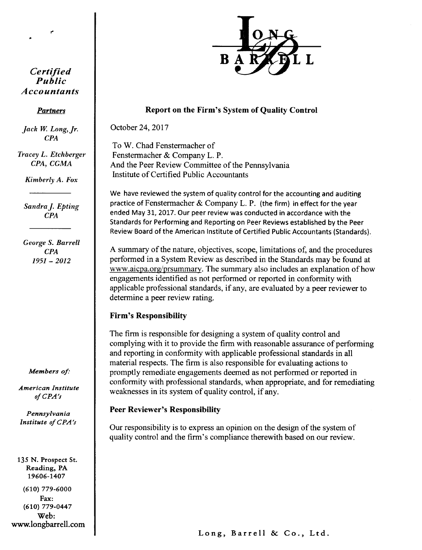

#### *Partners*

*Jack W. Long, Jr. CPA*

*Tracey L. Etchberger CPA, CGMA*

*Kimberly A. Fox*

*Sandra I- Epting CPA*

*George S. Barrell CPA* 1951 - *2012*

*Members of:*

*American Institute o/CPA's*

*Pennsylvania* Institute of CPA's

135 N. Prospect St. Reading, PA 19606-1407 (610) 779-6000

Fax: (610) 779-0447 Web: www.longbarrell.com



# Report on the Firm's System of Quality Control

October 24,2017

To W. Chad Fenstermacher of Fenstermacher & Company L. P. And the Peer Review Committee of the Pennsylvania Institute of Certified Public Accountants

We have reviewed the system of quality control for the accounting and auditing practice of Fenstermacher & Company L. P. (the firm) in effect for the year ended May 31, 2017. Our peer review was conducted in accordance with the Standards for Performing and Reporting on Peer Reviews established by the Peer Review Board of the American Institute of Certified Public Accountants (Standards).

A summary of the nature, objectives, scope, limitations of, and the procedures performed in a System Review as described in the Standards may be found at www.aicpa.org/prsummary. The summary also includes an explanation of how engagements identified as not performed or reported in conformity with applicable professional standards, if any, are evaluated by a peer reviewer to determine a peer review rating.

# Firm's Responsibility

The firm is responsible for designing a system of quality control and complying with it to provide the firm with reasonable assurance of performing and reporting in conformity with applicable professional standards in all material respects. The firm is also responsible for evaluating actions to promptly remediate engagements deemed as not performed or reported in conformity with professional standards, when appropriate, and for remediating weaknesses in its system of quality control, if any.

### Peer Reviewer's Responsibility

Our responsibility is to express an opinion on the design of the system of quality control and the firm's compliance therewith based on our review.